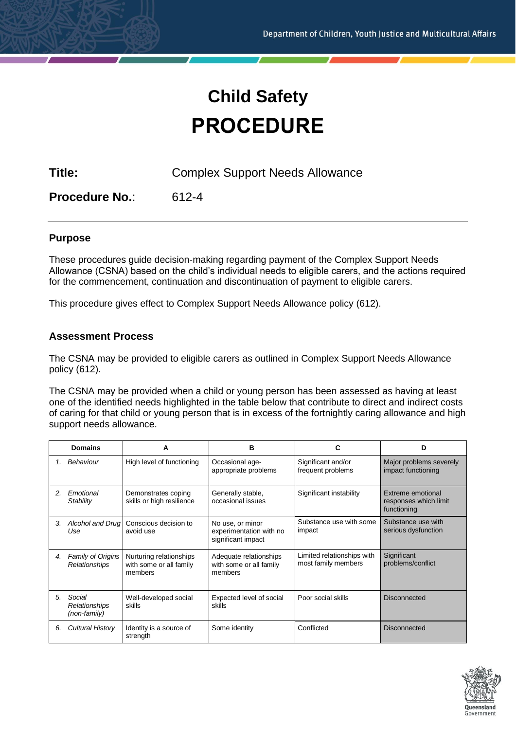# **Child Safety PROCEDURE**

**Title:** Complex Support Needs Allowance

**Procedure No.**: 612-4

# **Purpose**

These procedures guide decision-making regarding payment of the Complex Support Needs Allowance (CSNA) based on the child's individual needs to eligible carers, and the actions required for the commencement, continuation and discontinuation of payment to eligible carers.

This procedure gives effect to Complex Support Needs Allowance policy (612).

# **Assessment Process**

The CSNA may be provided to eligible carers as outlined in Complex Support Needs Allowance policy (612).

The CSNA may be provided when a child or young person has been assessed as having at least one of the identified needs highlighted in the table below that contribute to direct and indirect costs of caring for that child or young person that is in excess of the fortnightly caring allowance and high support needs allowance.

|    | <b>Domains</b>                          | A                                                             | в                                                                 | С                                                 | D                                                         |
|----|-----------------------------------------|---------------------------------------------------------------|-------------------------------------------------------------------|---------------------------------------------------|-----------------------------------------------------------|
| 1. | <b>Behaviour</b>                        | High level of functioning                                     | Occasional age-<br>appropriate problems                           | Significant and/or<br>frequent problems           | Major problems severely<br>impact functioning             |
| 2. | Emotional<br>Stability                  | Demonstrates coping<br>skills or high resilience              | Generally stable,<br>occasional issues                            | Significant instability                           | Extreme emotional<br>responses which limit<br>functioning |
| 3. | Alcohol and Drug<br>Use                 | Conscious decision to<br>avoid use                            | No use, or minor<br>experimentation with no<br>significant impact | Substance use with some<br>impact                 | Substance use with<br>serious dysfunction                 |
| 4. | Family of Origins<br>Relationships      | Nurturing relationships<br>with some or all family<br>members | Adequate relationships<br>with some or all family<br>members      | Limited relationships with<br>most family members | Significant<br>problems/conflict                          |
| 5. | Social<br>Relationships<br>(non-family) | Well-developed social<br>skills                               | Expected level of social<br>skills                                | Poor social skills                                | <b>Disconnected</b>                                       |
| 6. | <b>Cultural History</b>                 | Identity is a source of<br>strength                           | Some identity                                                     | Conflicted                                        | <b>Disconnected</b>                                       |

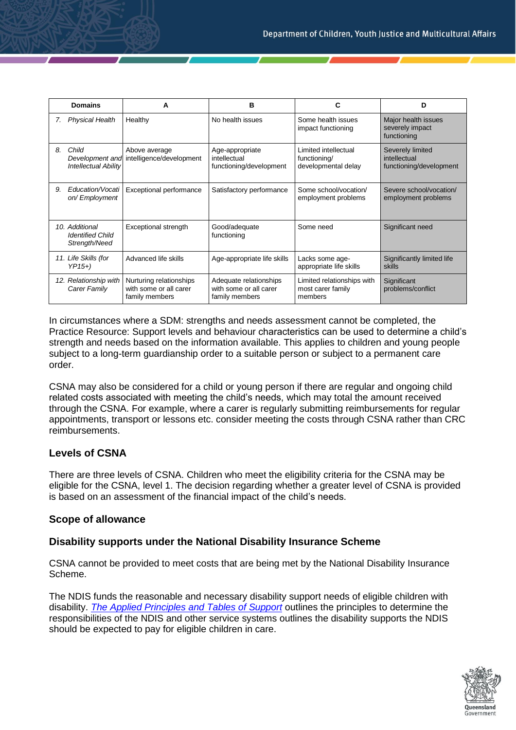|    | <b>Domains</b>                                             | А                                                                   | в                                                                  |                                                             | D                                                           |
|----|------------------------------------------------------------|---------------------------------------------------------------------|--------------------------------------------------------------------|-------------------------------------------------------------|-------------------------------------------------------------|
| 7. | <b>Physical Health</b>                                     | Healthy                                                             | No health issues                                                   | Some health issues<br>impact functioning                    | Major health issues<br>severely impact<br>functioning       |
| 8. | Child<br>Development and<br><b>Intellectual Ability</b>    | Above average<br>intelligence/development                           | Age-appropriate<br>intellectual<br>functioning/development         | Limited intellectual<br>functioning/<br>developmental delay | Severely limited<br>intellectual<br>functioning/development |
| 9. | Education/Vocati<br>on/Employment                          | Exceptional performance                                             | Satisfactory performance                                           | Some school/vocation/<br>employment problems                | Severe school/vocation/<br>employment problems              |
|    | 10. Additional<br><b>Identified Child</b><br>Strength/Need | Exceptional strength                                                | Good/adequate<br>functioning                                       | Some need                                                   | Significant need                                            |
|    | 11. Life Skills (for<br>$YP15+$                            | Advanced life skills                                                | Age-appropriate life skills                                        | Lacks some age-<br>appropriate life skills                  | Significantly limited life<br>skills                        |
|    | 12. Relationship with<br>Carer Family                      | Nurturing relationships<br>with some or all carer<br>family members | Adequate relationships<br>with some or all carer<br>family members | Limited relationships with<br>most carer family<br>members  | Significant<br>problems/conflict                            |

In circumstances where a SDM: strengths and needs assessment cannot be completed, the Practice Resource: Support levels and behaviour characteristics can be used to determine a child's strength and needs based on the information available. This applies to children and young people subject to a long-term guardianship order to a suitable person or subject to a permanent care order.

CSNA may also be considered for a child or young person if there are regular and ongoing child related costs associated with meeting the child's needs, which may total the amount received through the CSNA. For example, where a carer is regularly submitting reimbursements for regular appointments, transport or lessons etc. consider meeting the costs through CSNA rather than CRC reimbursements.

# **Levels of CSNA**

There are three levels of CSNA. Children who meet the eligibility criteria for the CSNA may be eligible for the CSNA, level 1. The decision regarding whether a greater level of CSNA is provided is based on an assessment of the financial impact of the child's needs.

# **Scope of allowance**

# **Disability supports under the National Disability Insurance Scheme**

CSNA cannot be provided to meet costs that are being met by the National Disability Insurance Scheme.

The NDIS funds the reasonable and necessary disability support needs of eligible children with disability. *[The Applied Principles and Tables of Support](https://csywintranet.root.internal/service-delivery/child-safety/disability-support/ndis-information-child-safety)* outlines the principles to determine the responsibilities of the NDIS and other service systems outlines the disability supports the NDIS should be expected to pay for eligible children in care.

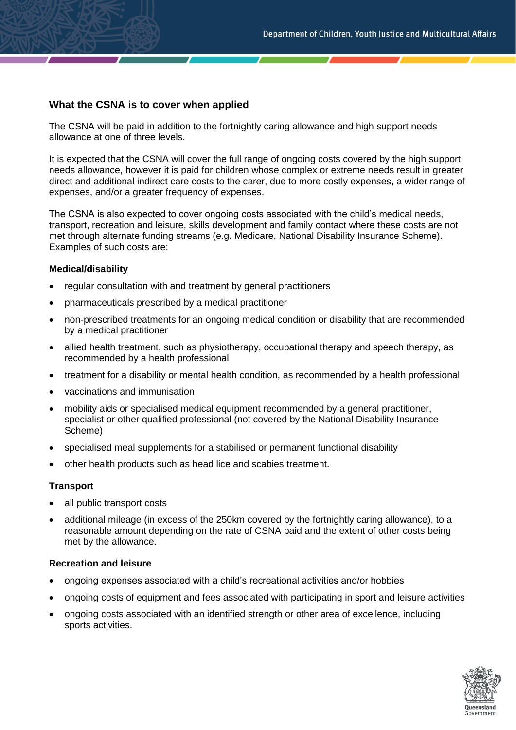# **What the CSNA is to cover when applied**

The CSNA will be paid in addition to the fortnightly caring allowance and high support needs allowance at one of three levels.

It is expected that the CSNA will cover the full range of ongoing costs covered by the high support needs allowance, however it is paid for children whose complex or extreme needs result in greater direct and additional indirect care costs to the carer, due to more costly expenses, a wider range of expenses, and/or a greater frequency of expenses.

The CSNA is also expected to cover ongoing costs associated with the child's medical needs, transport, recreation and leisure, skills development and family contact where these costs are not met through alternate funding streams (e.g. Medicare, National Disability Insurance Scheme). Examples of such costs are:

# **Medical/disability**

- regular consultation with and treatment by general practitioners
- pharmaceuticals prescribed by a medical practitioner
- non-prescribed treatments for an ongoing medical condition or disability that are recommended by a medical practitioner
- allied health treatment, such as physiotherapy, occupational therapy and speech therapy, as recommended by a health professional
- treatment for a disability or mental health condition, as recommended by a health professional
- vaccinations and immunisation
- mobility aids or specialised medical equipment recommended by a general practitioner, specialist or other qualified professional (not covered by the National Disability Insurance Scheme)
- specialised meal supplements for a stabilised or permanent functional disability
- other health products such as head lice and scabies treatment.

# **Transport**

- all public transport costs
- additional mileage (in excess of the 250km covered by the fortnightly caring allowance), to a reasonable amount depending on the rate of CSNA paid and the extent of other costs being met by the allowance.

#### **Recreation and leisure**

- ongoing expenses associated with a child's recreational activities and/or hobbies
- ongoing costs of equipment and fees associated with participating in sport and leisure activities
- ongoing costs associated with an identified strength or other area of excellence, including sports activities.

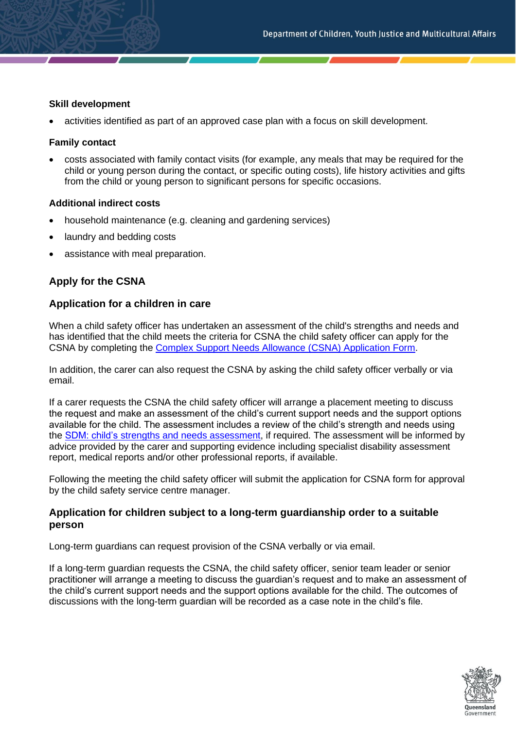# **Skill development**

• activities identified as part of an approved case plan with a focus on skill development.

### **Family contact**

• costs associated with family contact visits (for example, any meals that may be required for the child or young person during the contact, or specific outing costs), life history activities and gifts from the child or young person to significant persons for specific occasions.

#### **Additional indirect costs**

- household maintenance (e.g. cleaning and gardening services)
- laundry and bedding costs
- assistance with meal preparation.

# **Apply for the CSNA**

# **Application for a children in care**

When a child safety officer has undertaken an assessment of the child's strengths and needs and has identified that the child meets the criteria for CSNA the child safety officer can apply for the CSNA by completing the [Complex Support Needs Allowance \(CSNA\) Application Form.](https://cyjmaintranet.root.internal/forms-templates/service-delivery/child-safety/foster-kinship-care)

In addition, the carer can also request the CSNA by asking the child safety officer verbally or via email.

If a carer requests the CSNA the child safety officer will arrange a placement meeting to discuss the request and make an assessment of the child's current support needs and the support options available for the child. The assessment includes a review of the child's strength and needs using the SDM: child's [strengths and needs assessment,](https://www.csyw.qld.gov.au/_assets/custom/childsafety/scripts/practice-manual-redirect.ashx?alias=sdmchildstrengths) if required. The assessment will be informed by advice provided by the carer and supporting evidence including specialist disability assessment report, medical reports and/or other professional reports, if available.

Following the meeting the child safety officer will submit the application for CSNA form for approval by the child safety service centre manager.

# **Application for children subject to a long-term guardianship order to a suitable person**

Long-term guardians can request provision of the CSNA verbally or via email.

If a long-term guardian requests the CSNA, the child safety officer, senior team leader or senior practitioner will arrange a meeting to discuss the guardian's request and to make an assessment of the child's current support needs and the support options available for the child. The outcomes of discussions with the long-term guardian will be recorded as a case note in the child's file.

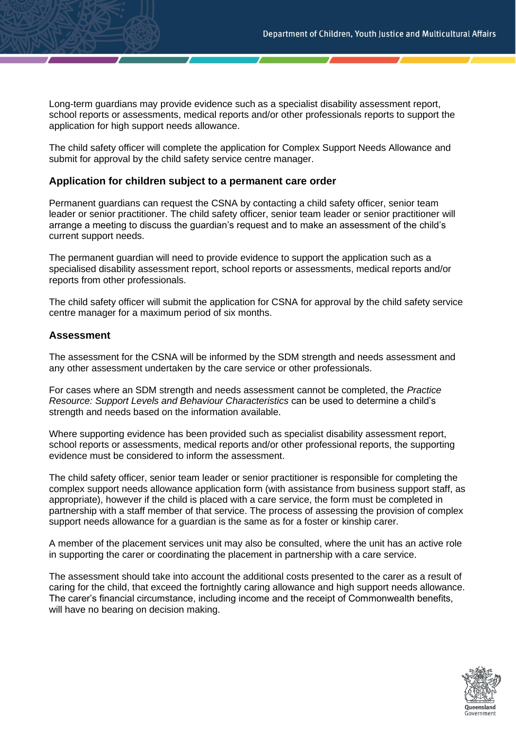Long-term guardians may provide evidence such as a specialist disability assessment report, school reports or assessments, medical reports and/or other professionals reports to support the application for high support needs allowance.

The child safety officer will complete the application for Complex Support Needs Allowance and submit for approval by the child safety service centre manager.

### **Application for children subject to a permanent care order**

Permanent guardians can request the CSNA by contacting a child safety officer, senior team leader or senior practitioner. The child safety officer, senior team leader or senior practitioner will arrange a meeting to discuss the guardian's request and to make an assessment of the child's current support needs.

The permanent guardian will need to provide evidence to support the application such as a specialised disability assessment report, school reports or assessments, medical reports and/or reports from other professionals.

The child safety officer will submit the application for CSNA for approval by the child safety service centre manager for a maximum period of six months.

#### **Assessment**

The assessment for the CSNA will be informed by the SDM strength and needs assessment and any other assessment undertaken by the care service or other professionals.

For cases where an SDM strength and needs assessment cannot be completed, the *Practice Resource: Support Levels and Behaviour Characteristics* can be used to determine a child's strength and needs based on the information available.

Where supporting evidence has been provided such as specialist disability assessment report, school reports or assessments, medical reports and/or other professional reports, the supporting evidence must be considered to inform the assessment.

The child safety officer, senior team leader or senior practitioner is responsible for completing the complex support needs allowance application form (with assistance from business support staff, as appropriate), however if the child is placed with a care service, the form must be completed in partnership with a staff member of that service. The process of assessing the provision of complex support needs allowance for a guardian is the same as for a foster or kinship carer.

A member of the placement services unit may also be consulted, where the unit has an active role in supporting the carer or coordinating the placement in partnership with a care service.

The assessment should take into account the additional costs presented to the carer as a result of caring for the child, that exceed the fortnightly caring allowance and high support needs allowance. The carer's financial circumstance, including income and the receipt of Commonwealth benefits, will have no bearing on decision making.

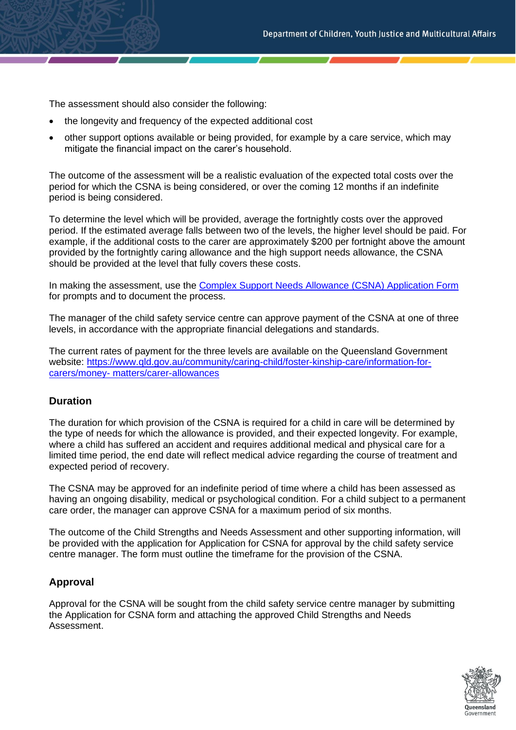The assessment should also consider the following:

- the longevity and frequency of the expected additional cost
- other support options available or being provided, for example by a care service, which may mitigate the financial impact on the carer's household.

The outcome of the assessment will be a realistic evaluation of the expected total costs over the period for which the CSNA is being considered, or over the coming 12 months if an indefinite period is being considered.

To determine the level which will be provided, average the fortnightly costs over the approved period. If the estimated average falls between two of the levels, the higher level should be paid. For example, if the additional costs to the carer are approximately \$200 per fortnight above the amount provided by the fortnightly caring allowance and the high support needs allowance, the CSNA should be provided at the level that fully covers these costs.

In making the assessment, use the [Complex Support Needs Allowance \(CSNA\) Application Form](https://cyjmaintranet.root.internal/forms-templates/service-delivery/child-safety/foster-kinship-care) for prompts and to document the process.

The manager of the child safety service centre can approve payment of the CSNA at one of three levels, in accordance with the appropriate financial delegations and standards.

The current rates of payment for the three levels are available on the Queensland Government website: [https://www.qld.gov.au/community/caring-child/foster-kinship-care/information-for](https://www.qld.gov.au/community/caring-child/foster-kinship-care/information-for-carers/money-matters/carer-allowances)[carers/money-](https://www.qld.gov.au/community/caring-child/foster-kinship-care/information-for-carers/money-matters/carer-allowances) [matters/carer-allowances](https://www.qld.gov.au/community/caring-child/foster-kinship-care/information-for-carers/money-matters/carer-allowances)

# **Duration**

The duration for which provision of the CSNA is required for a child in care will be determined by the type of needs for which the allowance is provided, and their expected longevity. For example, where a child has suffered an accident and requires additional medical and physical care for a limited time period, the end date will reflect medical advice regarding the course of treatment and expected period of recovery.

The CSNA may be approved for an indefinite period of time where a child has been assessed as having an ongoing disability, medical or psychological condition. For a child subject to a permanent care order, the manager can approve CSNA for a maximum period of six months.

The outcome of the Child Strengths and Needs Assessment and other supporting information, will be provided with the application for Application for CSNA for approval by the child safety service centre manager. The form must outline the timeframe for the provision of the CSNA.

# **Approval**

Approval for the CSNA will be sought from the child safety service centre manager by submitting the Application for CSNA form and attaching the approved Child Strengths and Needs Assessment.

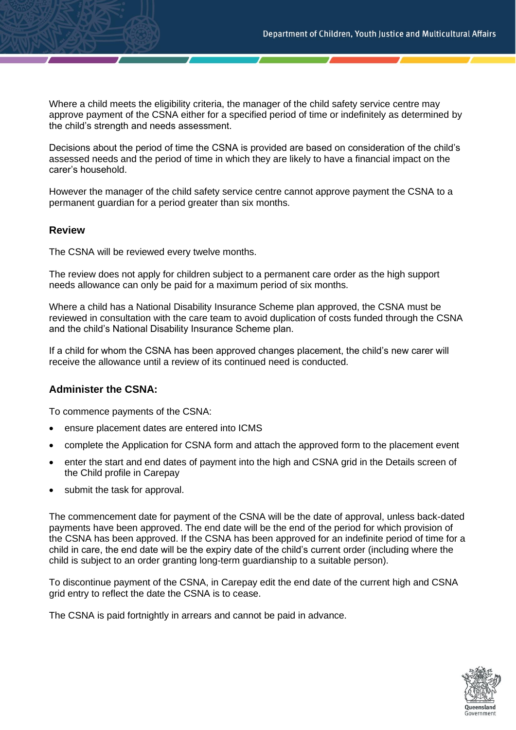Where a child meets the eligibility criteria, the manager of the child safety service centre may approve payment of the CSNA either for a specified period of time or indefinitely as determined by the child's strength and needs assessment.

Decisions about the period of time the CSNA is provided are based on consideration of the child's assessed needs and the period of time in which they are likely to have a financial impact on the carer's household.

However the manager of the child safety service centre cannot approve payment the CSNA to a permanent guardian for a period greater than six months.

# **Review**

The CSNA will be reviewed every twelve months.

The review does not apply for children subject to a permanent care order as the high support needs allowance can only be paid for a maximum period of six months.

Where a child has a National Disability Insurance Scheme plan approved, the CSNA must be reviewed in consultation with the care team to avoid duplication of costs funded through the CSNA and the child's National Disability Insurance Scheme plan.

If a child for whom the CSNA has been approved changes placement, the child's new carer will receive the allowance until a review of its continued need is conducted.

# **Administer the CSNA:**

To commence payments of the CSNA:

- ensure placement dates are entered into ICMS
- complete the Application for CSNA form and attach the approved form to the placement event
- enter the start and end dates of payment into the high and CSNA grid in the Details screen of the Child profile in Carepay
- submit the task for approval.

The commencement date for payment of the CSNA will be the date of approval, unless back-dated payments have been approved. The end date will be the end of the period for which provision of the CSNA has been approved. If the CSNA has been approved for an indefinite period of time for a child in care, the end date will be the expiry date of the child's current order (including where the child is subject to an order granting long-term guardianship to a suitable person).

To discontinue payment of the CSNA, in Carepay edit the end date of the current high and CSNA grid entry to reflect the date the CSNA is to cease.

The CSNA is paid fortnightly in arrears and cannot be paid in advance.

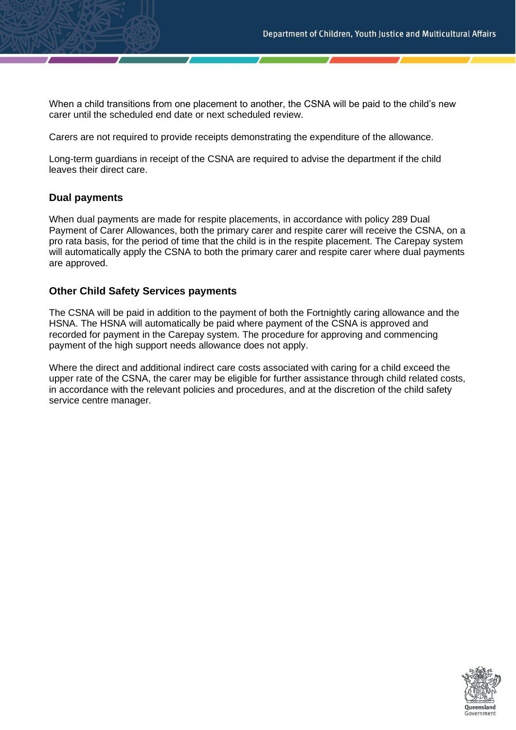When a child transitions from one placement to another, the CSNA will be paid to the child's new carer until the scheduled end date or next scheduled review.

Carers are not required to provide receipts demonstrating the expenditure of the allowance.

Long-term guardians in receipt of the CSNA are required to advise the department if the child leaves their direct care.

# **Dual payments**

When dual payments are made for respite placements, in accordance with policy 289 Dual Payment of Carer Allowances, both the primary carer and respite carer will receive the CSNA, on a pro rata basis, for the period of time that the child is in the respite placement. The Carepay system will automatically apply the CSNA to both the primary carer and respite carer where dual payments are approved.

# **Other Child Safety Services payments**

The CSNA will be paid in addition to the payment of both the Fortnightly caring allowance and the HSNA. The HSNA will automatically be paid where payment of the CSNA is approved and recorded for payment in the Carepay system. The procedure for approving and commencing payment of the high support needs allowance does not apply.

Where the direct and additional indirect care costs associated with caring for a child exceed the upper rate of the CSNA, the carer may be eligible for further assistance through child related costs, in accordance with the relevant policies and procedures, and at the discretion of the child safety service centre manager.